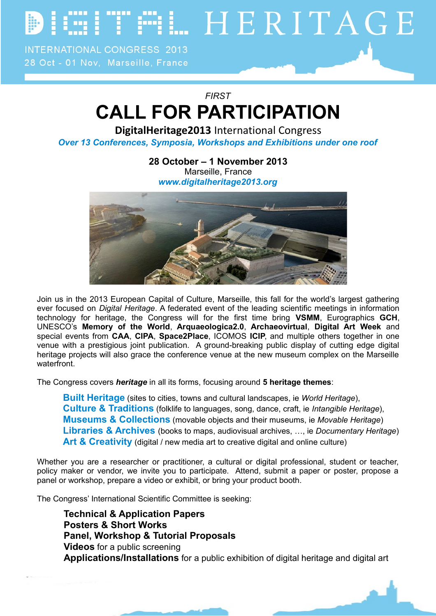**FIL HERITAGE** 

**INTERNATIONAL CONGRESS 2013** 28 Oct - 01 Nov, Marseille, France

*FIRST*

## **CALL FOR PARTICIPATION**

**DigitalHeritage2013** International Congress

*Over 13 Conferences, Symposia, Workshops and Exhibitions under one roof*

**28 October – 1 November 2013** Marseille, France *[www.digitalheritage2013.org](http://www.digitalheritage2013.org/)*



Join us in the 2013 European Capital of Culture, Marseille, this fall for the world's largest gathering ever focused on *Digital Heritage*. A federated event of the leading scientific meetings in information technology for heritage, the Congress will for the first time bring **VSMM**, Eurographics **GCH**, UNESCO's **Memory of the World**, **Arquaeologica2.0**, **Archaeovirtual**, **Digital Art Week** and special events from **CAA**, **CIPA**, **Space2Place**, ICOMOS **ICIP**, and multiple others together in one venue with a prestigious joint publication. A ground-breaking public display of cutting edge digital heritage projects will also grace the conference venue at the new museum complex on the Marseille waterfront.

The Congress covers *heritage* in all its forms, focusing around **5 heritage themes**:

**Built Heritage** (sites to cities, towns and cultural landscapes, ie *World Heritage*), **Culture & Traditions** (folklife to languages, song, dance, craft, ie *Intangible Heritage*), **Museums & Collections** (movable objects and their museums, ie *Movable Heritage*) **Libraries & Archives** (books to maps, audiovisual archives, …, ie *Documentary Heritage*) Art & Creativity (digital / new media art to creative digital and online culture)

Whether you are a researcher or practitioner, a cultural or digital professional, student or teacher, policy maker or vendor, we invite you to participate. Attend, submit a paper or poster, propose a panel or workshop, prepare a video or exhibit, or bring your product booth.

The Congress' International Scientific Committee is seeking:

**Technical & Application Papers Posters & Short Works Panel, Workshop & Tutorial Proposals Videos** for a public screening **Applications/Installations** for a public exhibition of digital heritage and digital art